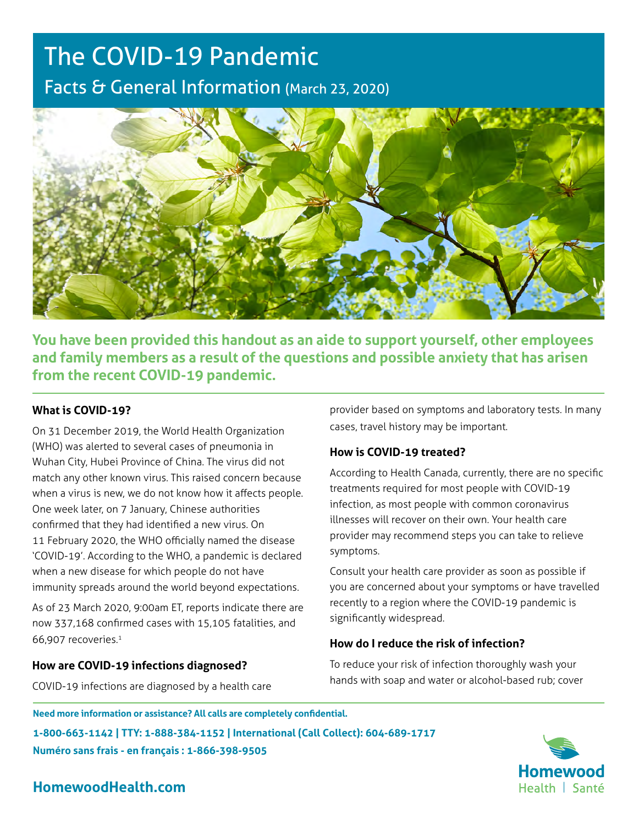# The COVID-19 Pandemic Facts & General Information (March 23, 2020)



**You have been provided this handout as an aide to support yourself, other employees and family members as a result of the questions and possible anxiety that has arisen from the recent COVID-19 pandemic.**

## **What is COVID-19?**

On 31 December 2019, the World Health Organization (WHO) was alerted to several cases of pneumonia in Wuhan City, Hubei Province of China. The virus did not match any other known virus. This raised concern because when a virus is new, we do not know how it affects people. One week later, on 7 January, Chinese authorities confirmed that they had identified a new virus. On 11 February 2020, the WHO officially named the disease 'COVID-19'. According to the WHO, a pandemic is declared when a new disease for which people do not have immunity spreads around the world beyond expectations.

As of 23 March 2020, 9:00am ET, reports indicate there are now 337,168 confirmed cases with 15,105 fatalities, and 66,907 recoveries.1

#### **How are COVID-19 infections diagnosed?**

COVID-19 infections are diagnosed by a health care

provider based on symptoms and laboratory tests. In many cases, travel history may be important.

# **How is COVID-19 treated?**

According to Health Canada, currently, there are no specific treatments required for most people with COVID-19 infection, as most people with common coronavirus illnesses will recover on their own. Your health care provider may recommend steps you can take to relieve symptoms.

Consult your health care provider as soon as possible if you are concerned about your symptoms or have travelled recently to a region where the COVID-19 pandemic is significantly widespread.

# **How do I reduce the risk of infection?**

To reduce your risk of infection thoroughly wash your hands with soap and water or alcohol-based rub; cover

**Need more information or assistance? All calls are completely confidential.**

**1-800-663-1142 | TTY: 1-888-384-1152 | International (Call Collect): 604-689-1717 Numéro sans frais - en français : 1-866-398-9505**



# **HomewoodHealth.com**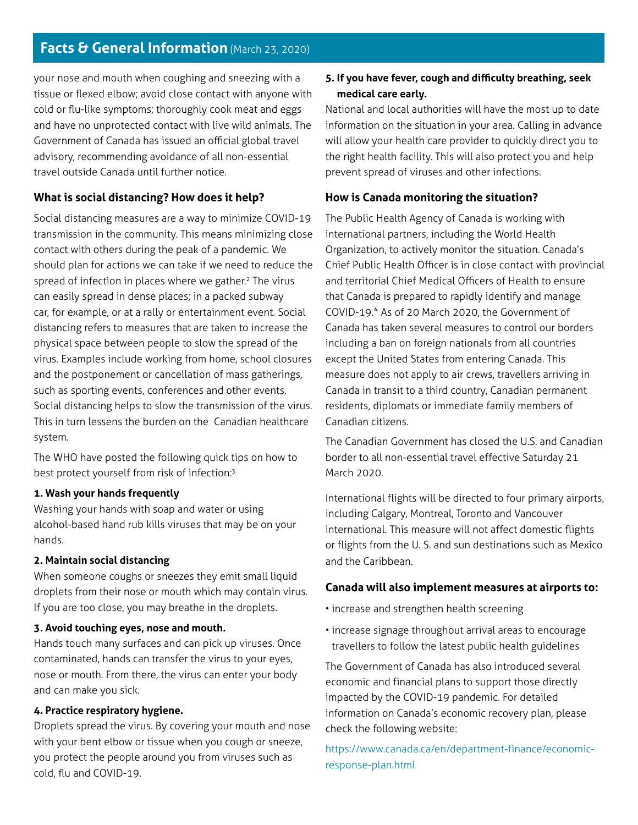# **Facts & General Information** (March 23, 2020)

your nose and mouth when coughing and sneezing with a tissue or flexed elbow; avoid close contact with anyone with cold or flu-like symptoms; thoroughly cook meat and eggs and have no unprotected contact with live wild animals. The Government of Canada has issued an official global travel advisory, recommending avoidance of all non-essential travel outside Canada until further notice.

# **What is social distancing? How does it help?**

Social distancing measures are a way to minimize COVID-19 transmission in the community. This means minimizing close contact with others during the peak of a pandemic. We should plan for actions we can take if we need to reduce the spread of infection in places where we gather.<sup>2</sup> The virus can easily spread in dense places; in a packed subway car, for example, or at a rally or entertainment event. Social distancing refers to measures that are taken to increase the physical space between people to slow the spread of the virus. Examples include working from home, school closures and the postponement or cancellation of mass gatherings, such as sporting events, conferences and other events. Social distancing helps to slow the transmission of the virus. This in turn lessens the burden on the Canadian healthcare system.

The WHO have posted the following quick tips on how to best protect yourself from risk of infection:3

#### **1. Wash your hands frequently**

Washing your hands with soap and water or using alcohol-based hand rub kills viruses that may be on your hands.

#### **2. Maintain social distancing**

When someone coughs or sneezes they emit small liquid droplets from their nose or mouth which may contain virus. If you are too close, you may breathe in the droplets.

#### **3. Avoid touching eyes, nose and mouth.**

Hands touch many surfaces and can pick up viruses. Once contaminated, hands can transfer the virus to your eyes, nose or mouth. From there, the virus can enter your body and can make you sick.

## **4. Practice respiratory hygiene.**

Droplets spread the virus. By covering your mouth and nose with your bent elbow or tissue when you cough or sneeze, you protect the people around you from viruses such as cold, flu and COVID-19.

# **5. If you have fever, cough and difficulty breathing, seek medical care early.**

National and local authorities will have the most up to date information on the situation in your area. Calling in advance will allow your health care provider to quickly direct you to the right health facility. This will also protect you and help prevent spread of viruses and other infections.

#### **How is Canada monitoring the situation?**

The Public Health Agency of Canada is working with international partners, including the World Health Organization, to actively monitor the situation. Canada's Chief Public Health Officer is in close contact with provincial and territorial Chief Medical Officers of Health to ensure that Canada is prepared to rapidly identify and manage COVID-19.4 As of 20 March 2020, the Government of Canada has taken several measures to control our borders including a ban on foreign nationals from all countries except the United States from entering Canada. This measure does not apply to air crews, travellers arriving in Canada in transit to a third country, Canadian permanent residents, diplomats or immediate family members of Canadian citizens.

The Canadian Government has closed the U.S. and Canadian border to all non-essential travel effective Saturday 21 March 2020.

International flights will be directed to four primary airports, including Calgary, Montreal, Toronto and Vancouver international. This measure will not affect domestic flights or flights from the U. S. and sun destinations such as Mexico and the Caribbean.

#### **Canada will also implement measures at airports to:**

- increase and strengthen health screening
- increase signage throughout arrival areas to encourage travellers to follow the latest public health guidelines

The Government of Canada has also introduced several economic and financial plans to support those directly impacted by the COVID-19 pandemic. For detailed information on Canada's economic recovery plan, please check the following website:

[https://www.canada.ca/en/department-finance/economic](https://infographics.channelnewsasia.com/covid-19/map.html)[response-plan.html](https://infographics.channelnewsasia.com/covid-19/map.html)